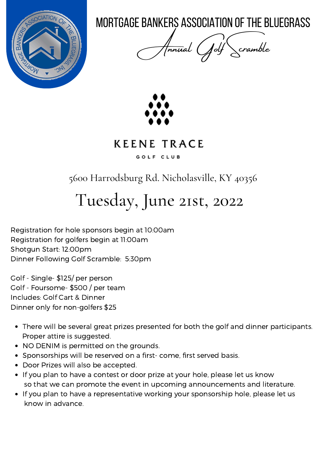

MORTGAGE BANKERS ASSOCIATION OF THE BLUEGRASS

Annual Golf Scramble



#### **KEENE TRACE** GOLF CLUB

5600 Harrodsburg Rd. Nicholasville, KY 40356

# Tuesday, June 21st, 2022

Registration for hole sponsors begin at 10:00am Registration for golfers begin at 11:00am Shotgun Start: 12:00pm Dinner Following Golf Scramble: 5:30pm

Golf - Single- \$125/ per person Golf - Foursome- \$500 / per team Includes: Golf Cart & Dinner Dinner only for non-golfers \$25

- There will be several great prizes presented for both the golf and dinner participants. Proper attire is suggested.
- NO DENIM is permitted on the grounds.
- Sponsorships will be reserved on a first-come, first served basis.
- Door Prizes will also be accepted.
- If you plan to have a contest or door prize at your hole, please let us know so that we can promote the event in upcoming announcements and literature.
- If you plan to have a representative working your sponsorship hole, please let us know in advance.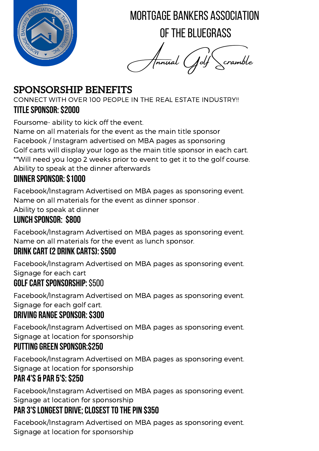

MORTGAGE BANKERS ASSOCIATION

OF THE BI UFGRASS

Annual Golf Scramble

## **SPONSORSHIP BENEFITS**

CONNECT WITH OVER 100 PEOPLE IN THE REAL ESTATE INDUSTRY!! **Titlesponsor:\$2000**

Foursome- ability to kick off the event.

Name on all materials for the event as the main title sponsor Facebook / Instagram advertised on MBA pages as sponsoring Golf carts will display your logo as the main title sponsor in each cart. \*\*Will need you logo 2 weeks prior to event to get it to the golf course. Ability to speak at the dinner afterwards

#### **Dinner Sponsor:\$1000**

Facebook/Instagram Advertised on MBA pages as sponsoring event. Name on all materials for the event as dinner sponsor .

Ability to speak at dinner

#### **Lunch Sponsor: \$800**

Facebook/Instagram Advertised on MBA pages as sponsoring event. Name on all materials for the event as lunch sponsor.

#### **Drink Cart(2 Drink Carts):\$500**

Facebook/Instagram Advertised on MBA pages as sponsoring event. Signage for each cart

#### **GolfCartSponsorship:**\$500

Facebook/Instagram Advertised on MBA pages as sponsoring event. Signage for each golf cart.

#### **DRIVING RANGE SPONSOR: \$300**

Facebook/Instagram Advertised on MBA pages as sponsoring event. Signage at location for sponsorship

#### **PuttingGreen Sponsor:\$250**

Facebook/Instagram Advertised on MBA pages as sponsoring event. Signage at location for sponsorship

#### **Par 4's & Par 5's:\$250**

Facebook/Instagram Advertised on MBA pages as sponsoring event. Signage at location for sponsorship

## **PAR 3'S LONGEST DRIVE; CLOSEST TO THE PIN \$350**

Facebook/Instagram Advertised on MBA pages as sponsoring event. Signage at location for sponsorship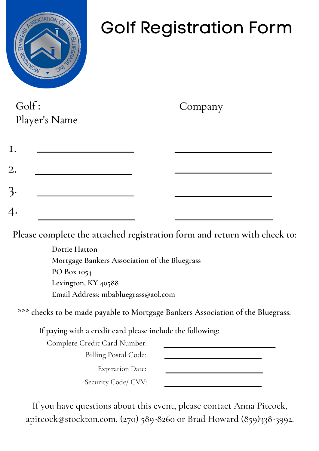

# Golf Registration Form

Golf : Player's Name

Company

| I. |  |  |
|----|--|--|
| 2. |  |  |
| 3. |  |  |
| 4. |  |  |

**Please complete the attached registration form and return with check to:**

**Dottie Hatton Mortgage Bankers Association of the Bluegrass PO Box 1054 Lexington, KY 40588 Email Address: mbabluegrass@aol.com**

**\*\*\* checks to be made payable to Mortgage Bankers Association of the Bluegrass.**

**If paying with a credit card please include the following:**

Complete Credit Card Number: Billing Postal Code:

Expiration Date:

Security Code/ CVV:

If you have questions about this event, please contact Anna Pitcock, apitcock@stockton.com, (270) 589-8260 or Brad Howard (859)338-3992.